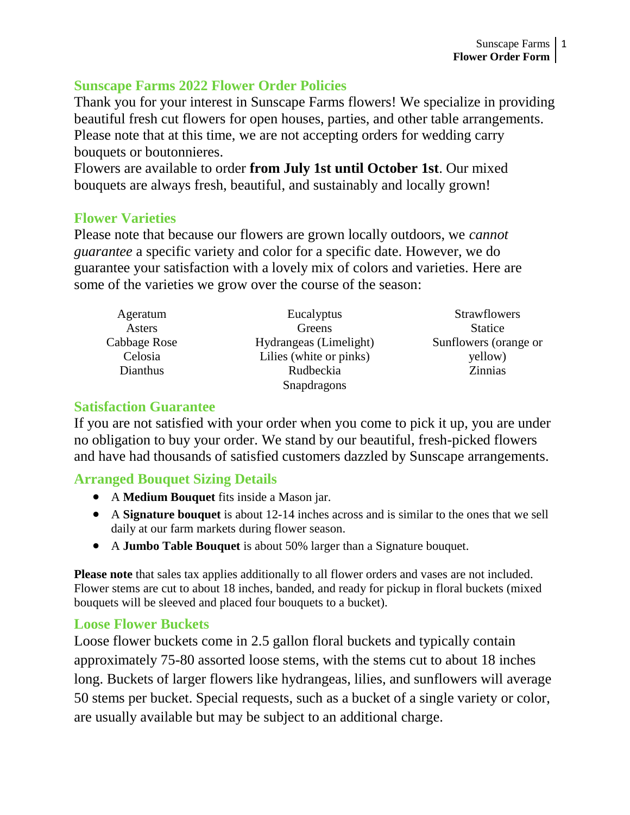### **Sunscape Farms 2022 Flower Order Policies**

Thank you for your interest in Sunscape Farms flowers! We specialize in providing beautiful fresh cut flowers for open houses, parties, and other table arrangements. Please note that at this time, we are not accepting orders for wedding carry bouquets or boutonnieres.

Flowers are available to order **from July 1st until October 1st**. Our mixed bouquets are always fresh, beautiful, and sustainably and locally grown!

### **Flower Varieties**

Please note that because our flowers are grown locally outdoors, we *cannot guarantee* a specific variety and color for a specific date. However, we do guarantee your satisfaction with a lovely mix of colors and varieties. Here are some of the varieties we grow over the course of the season:

| Ageratum     | Eucalyptus                                      | <b>Strawflowers</b> |
|--------------|-------------------------------------------------|---------------------|
| Asters       | Greens                                          | <b>Statice</b>      |
| Cabbage Rose | Hydrangeas (Limelight)<br>Sunflowers (orange or |                     |
| Celosia      | Lilies (white or pinks)<br>yellow)              |                     |
| Dianthus     | Rudbeckia                                       | <b>Zinnias</b>      |
|              | Snapdragons                                     |                     |

#### **Satisfaction Guarantee**

If you are not satisfied with your order when you come to pick it up, you are under no obligation to buy your order. We stand by our beautiful, fresh-picked flowers and have had thousands of satisfied customers dazzled by Sunscape arrangements.

# **Arranged Bouquet Sizing Details**

- A **Medium Bouquet** fits inside a Mason jar.
- A **Signature bouquet** is about 12-14 inches across and is similar to the ones that we sell daily at our farm markets during flower season.
- A **Jumbo Table Bouquet** is about 50% larger than a Signature bouquet.

**Please note** that sales tax applies additionally to all flower orders and vases are not included. Flower stems are cut to about 18 inches, banded, and ready for pickup in floral buckets (mixed bouquets will be sleeved and placed four bouquets to a bucket).

# **Loose Flower Buckets**

Loose flower buckets come in 2.5 gallon floral buckets and typically contain approximately 75-80 assorted loose stems, with the stems cut to about 18 inches long. Buckets of larger flowers like hydrangeas, lilies, and sunflowers will average 50 stems per bucket. Special requests, such as a bucket of a single variety or color, are usually available but may be subject to an additional charge.